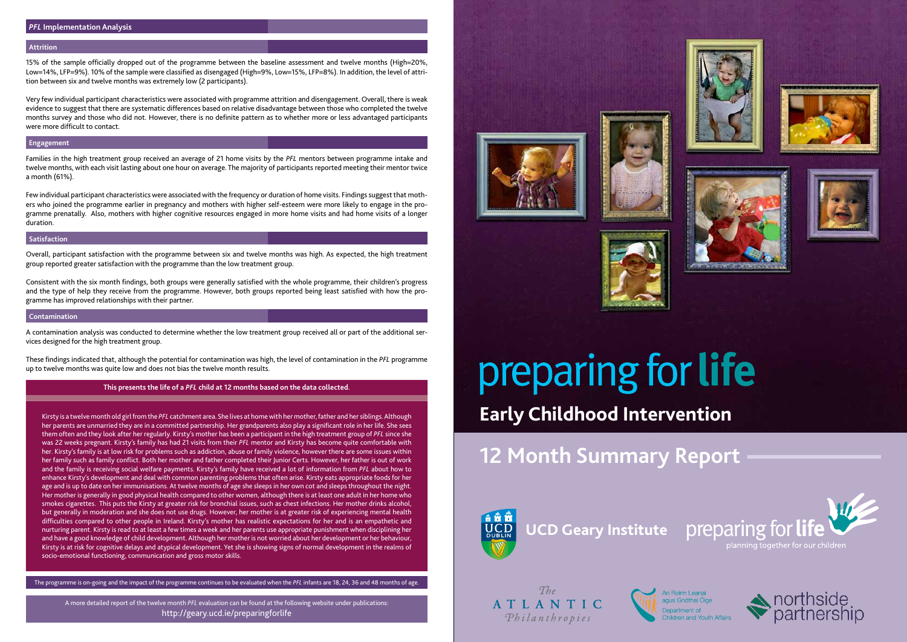# preparing for life planning together for our children **Early Childhood Intervention**

# **12 Month Summary Report**



 $The$ ATLANTIC Philanthropies













# **Attrition**

15% of the sample officially dropped out of the programme between the baseline assessment and twelve months (High=20%, Low=14%, LFP=9%). 10% of the sample were classified as disengaged (High=9%, Low=15%, LFP=8%). In addition, the level of attrition between six and twelve months was extremely low (2 participants).

Very few individual participant characteristics were associated with programme attrition and disengagement. Overall, there is weak evidence to suggest that there are systematic differences based on relative disadvantage between those who completed the twelve months survey and those who did not. However, there is no definite pattern as to whether more or less advantaged participants were more difficult to contact.

#### **Engagement**

Families in the high treatment group received an average of 21 home visits by the *PFL* mentors between programme intake and twelve months, with each visit lasting about one hour on average. The majority of participants reported meeting their mentor twice a month (61%).

Few individual participant characteristics were associated with the frequency or duration of home visits. Findings suggest that mothers who joined the programme earlier in pregnancy and mothers with higher self-esteem were more likely to engage in the programme prenatally. Also, mothers with higher cognitive resources engaged in more home visits and had home visits of a longer duration.

#### **Satisfaction**

Overall, participant satisfaction with the programme between six and twelve months was high. As expected, the high treatment group reported greater satisfaction with the programme than the low treatment group.

Consistent with the six month findings, both groups were generally satisfied with the whole programme, their children's progress and the type of help they receive from the programme. However, both groups reported being least satisfied with how the programme has improved relationships with their partner.

#### **Contamination**

A contamination analysis was conducted to determine whether the low treatment group received all or part of the additional services designed for the high treatment group.

These findings indicated that, although the potential for contamination was high, the level of contamination in the *PFL* programme up to twelve months was quite low and does not bias the twelve month results.

#### **This presents the life of a** *PFL* **child at 12 months based on the data collected.**

Kirsty is a twelve month old girl from the *PFL* catchment area. She lives at home with her mother, father and her siblings. Although her parents are unmarried they are in a committed partnership. Her grandparents also play a significant role in her life. She sees them often and they look after her regularly. Kirsty's mother has been a participant in the high treatment group of *PFL* since she was 22 weeks pregnant. Kirsty's family has had 21 visits from their *PFL* mentor and Kirsty has become quite comfortable with her. Kirsty's family is at low risk for problems such as addiction, abuse or family violence, however there are some issues within her family such as family conflict. Both her mother and father completed their Junior Certs. However, her father is out of work and the family is receiving social welfare payments. Kirsty's family have received a lot of information from *PFL* about how to enhance Kirsty's development and deal with common parenting problems that often arise. Kirsty eats appropriate foods for her age and is up to date on her immunisations. At twelve months of age she sleeps in her own cot and sleeps throughout the night. Her mother is generally in good physical health compared to other women, although there is at least one adult in her home who smokes cigarettes. This puts the Kirsty at greater risk for bronchial issues, such as chest infections. Her mother drinks alcohol, but generally in moderation and she does not use drugs. However, her mother is at greater risk of experiencing mental health difficulties compared to other people in Ireland. Kirsty's mother has realistic expectations for her and is an empathetic and nurturing parent. Kirsty is read to at least a few times a week and her parents use appropriate punishment when disciplining her and have a good knowledge of child development. Although her mother is not worried about her development or her behaviour, Kirsty is at risk for cognitive delays and atypical development. Yet she is showing signs of normal development in the realms of socio-emotional functioning, communication and gross motor skills.

The programme is on-going and the impact of the programme continues to be evaluated when the *PFL* infants are 18, 24, 36 and 48 months of age.

A more detailed report of the twelve month *PFL* evaluation can be found at the following website under publications: http://geary.ucd.ie/preparingforlife